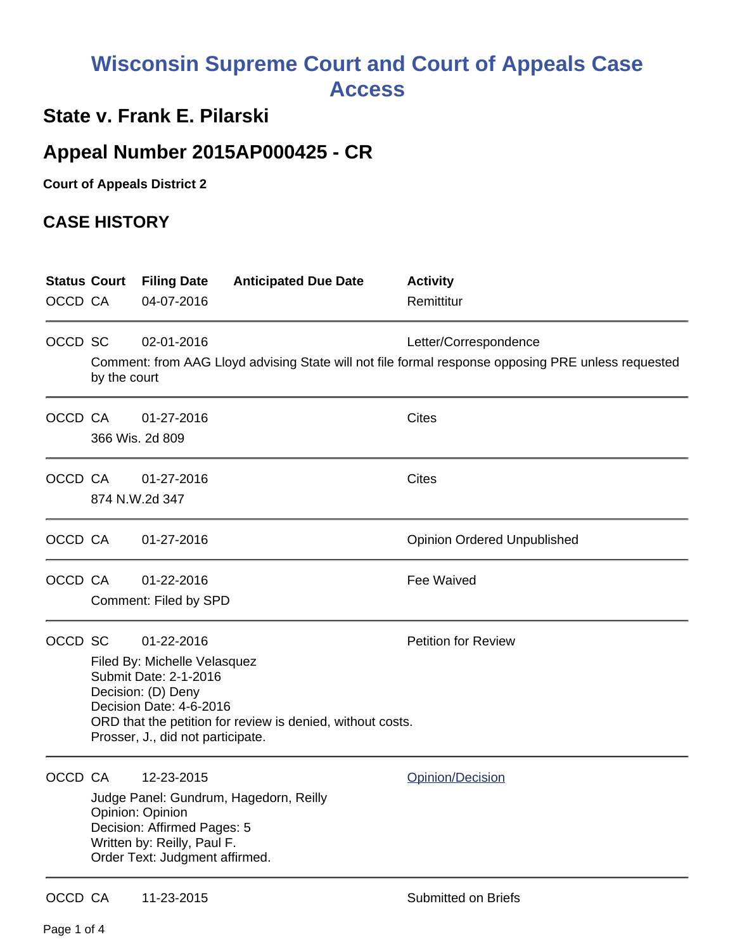## **Wisconsin Supreme Court and Court of Appeals Case Access**

## **State v. Frank E. Pilarski**

## **Appeal Number 2015AP000425 - CR**

**Court of Appeals District 2**

## **CASE HISTORY**

|         | <b>Status Court</b> | <b>Filing Date</b>                                            | <b>Anticipated Due Date</b>                                | <b>Activity</b>                                                                                    |
|---------|---------------------|---------------------------------------------------------------|------------------------------------------------------------|----------------------------------------------------------------------------------------------------|
| OCCD CA |                     | 04-07-2016                                                    |                                                            | Remittitur                                                                                         |
| OCCD SC |                     | 02-01-2016                                                    |                                                            | Letter/Correspondence                                                                              |
|         | by the court        |                                                               |                                                            | Comment: from AAG Lloyd advising State will not file formal response opposing PRE unless requested |
| OCCD CA |                     | 01-27-2016                                                    |                                                            | <b>Cites</b>                                                                                       |
|         |                     | 366 Wis. 2d 809                                               |                                                            |                                                                                                    |
| OCCD CA |                     | 01-27-2016                                                    |                                                            | <b>Cites</b>                                                                                       |
|         |                     | 874 N.W.2d 347                                                |                                                            |                                                                                                    |
| OCCD CA |                     | 01-27-2016                                                    |                                                            | <b>Opinion Ordered Unpublished</b>                                                                 |
| OCCD CA |                     | 01-22-2016                                                    |                                                            | Fee Waived                                                                                         |
|         |                     | Comment: Filed by SPD                                         |                                                            |                                                                                                    |
| OCCD SC |                     | 01-22-2016                                                    |                                                            | <b>Petition for Review</b>                                                                         |
|         |                     | Filed By: Michelle Velasquez<br>Submit Date: 2-1-2016         |                                                            |                                                                                                    |
|         |                     | Decision: (D) Deny                                            |                                                            |                                                                                                    |
|         |                     | Decision Date: 4-6-2016                                       | ORD that the petition for review is denied, without costs. |                                                                                                    |
|         |                     | Prosser, J., did not participate.                             |                                                            |                                                                                                    |
| OCCD CA |                     | 12-23-2015                                                    |                                                            | Opinion/Decision                                                                                   |
|         |                     |                                                               | Judge Panel: Gundrum, Hagedorn, Reilly                     |                                                                                                    |
|         |                     | Opinion: Opinion<br>Decision: Affirmed Pages: 5               |                                                            |                                                                                                    |
|         |                     | Written by: Reilly, Paul F.<br>Order Text: Judgment affirmed. |                                                            |                                                                                                    |
|         |                     |                                                               |                                                            |                                                                                                    |
| OCCD CA |                     | 11-23-2015                                                    |                                                            | <b>Submitted on Briefs</b>                                                                         |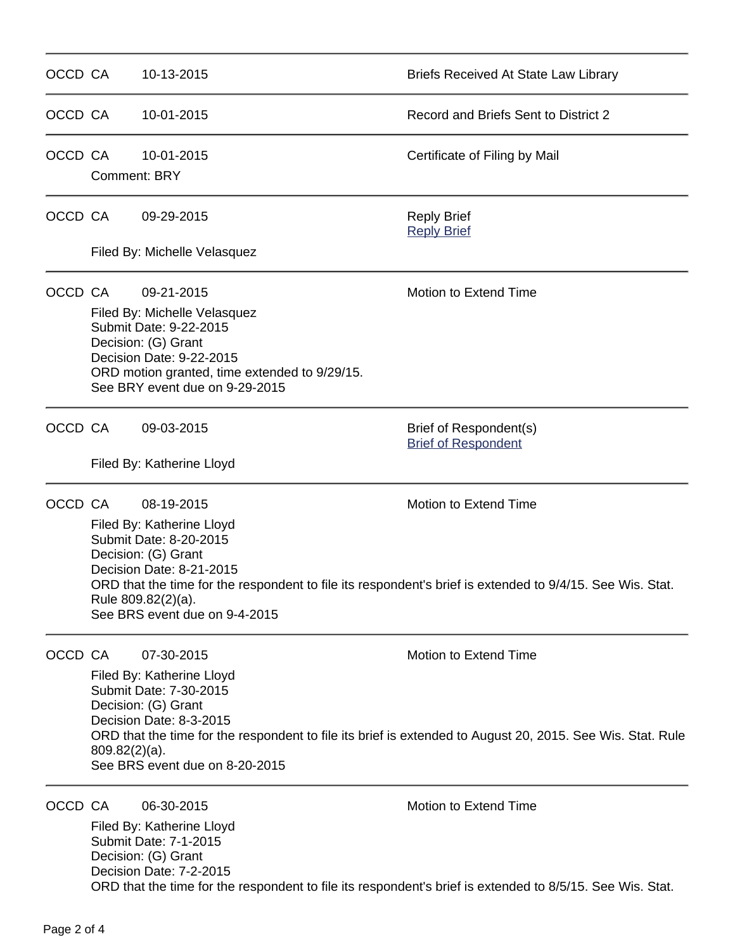| OCCD CA |                                                                                                                                                                                                                                     | 10-13-2015                                                                                                                                                                                                                                                                                                        | <b>Briefs Received At State Law Library</b>                                                                                        |  |
|---------|-------------------------------------------------------------------------------------------------------------------------------------------------------------------------------------------------------------------------------------|-------------------------------------------------------------------------------------------------------------------------------------------------------------------------------------------------------------------------------------------------------------------------------------------------------------------|------------------------------------------------------------------------------------------------------------------------------------|--|
| OCCD CA |                                                                                                                                                                                                                                     | 10-01-2015                                                                                                                                                                                                                                                                                                        | Record and Briefs Sent to District 2                                                                                               |  |
| OCCD CA | <b>Comment: BRY</b>                                                                                                                                                                                                                 | 10-01-2015                                                                                                                                                                                                                                                                                                        | Certificate of Filing by Mail                                                                                                      |  |
| OCCD CA |                                                                                                                                                                                                                                     | 09-29-2015                                                                                                                                                                                                                                                                                                        | <b>Reply Brief</b><br><b>Reply Brief</b>                                                                                           |  |
|         |                                                                                                                                                                                                                                     | Filed By: Michelle Velasquez                                                                                                                                                                                                                                                                                      |                                                                                                                                    |  |
| OCCD CA | Motion to Extend Time<br>09-21-2015<br>Filed By: Michelle Velasquez<br>Submit Date: 9-22-2015<br>Decision: (G) Grant<br>Decision Date: 9-22-2015<br>ORD motion granted, time extended to 9/29/15.<br>See BRY event due on 9-29-2015 |                                                                                                                                                                                                                                                                                                                   |                                                                                                                                    |  |
| OCCD CA |                                                                                                                                                                                                                                     | 09-03-2015                                                                                                                                                                                                                                                                                                        | Brief of Respondent(s)<br><b>Brief of Respondent</b>                                                                               |  |
|         |                                                                                                                                                                                                                                     | Filed By: Katherine Lloyd                                                                                                                                                                                                                                                                                         |                                                                                                                                    |  |
| OCCD CA |                                                                                                                                                                                                                                     | Motion to Extend Time<br>08-19-2015<br>Filed By: Katherine Lloyd<br>Submit Date: 8-20-2015<br>Decision: (G) Grant<br>Decision Date: 8-21-2015<br>ORD that the time for the respondent to file its respondent's brief is extended to 9/4/15. See Wis. Stat.<br>Rule 809.82(2)(a).<br>See BRS event due on 9-4-2015 |                                                                                                                                    |  |
| OCCD CA | $809.82(2)(a)$ .                                                                                                                                                                                                                    | Motion to Extend Time<br>07-30-2015<br>Filed By: Katherine Lloyd<br>Submit Date: 7-30-2015<br>Decision: (G) Grant<br>Decision Date: 8-3-2015<br>ORD that the time for the respondent to file its brief is extended to August 20, 2015. See Wis. Stat. Rule<br>See BRS event due on 8-20-2015                      |                                                                                                                                    |  |
| OCCD CA |                                                                                                                                                                                                                                     | 06-30-2015<br>Filed By: Katherine Lloyd<br>Submit Date: 7-1-2015<br>Decision: (G) Grant<br>Decision Date: 7-2-2015                                                                                                                                                                                                | Motion to Extend Time<br>ORD that the time for the respondent to file its respondent's brief is extended to 8/5/15. See Wis. Stat. |  |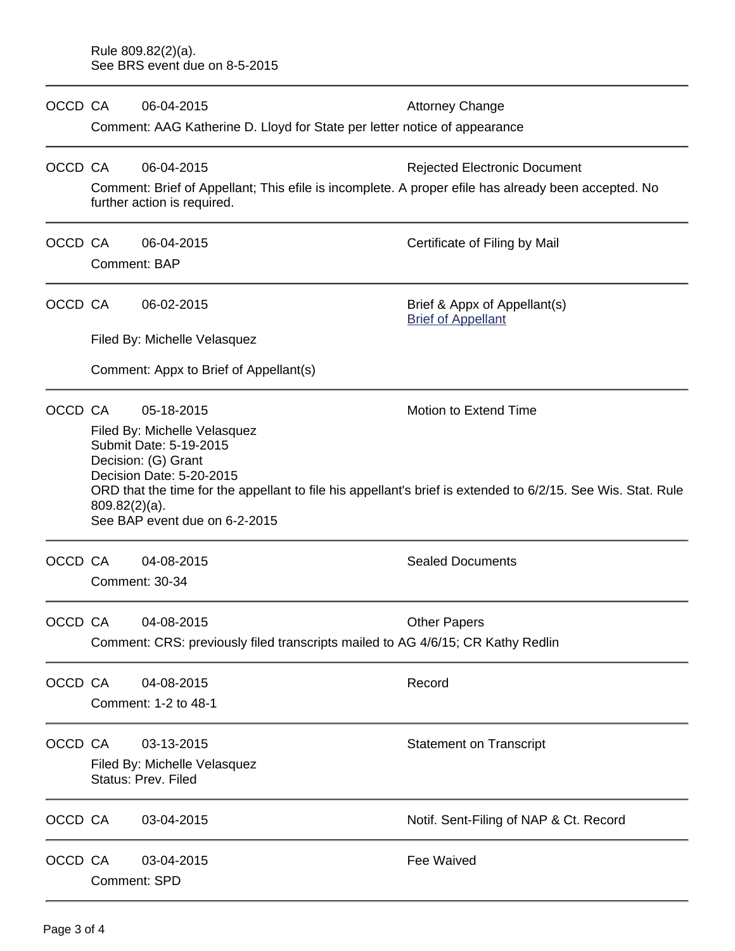| OCCD CA |                                                     | 06-04-2015                                                                      | <b>Attorney Change</b>                                                                                       |  |  |  |  |
|---------|-----------------------------------------------------|---------------------------------------------------------------------------------|--------------------------------------------------------------------------------------------------------------|--|--|--|--|
|         |                                                     | Comment: AAG Katherine D. Lloyd for State per letter notice of appearance       |                                                                                                              |  |  |  |  |
| OCCD CA |                                                     | 06-04-2015                                                                      | <b>Rejected Electronic Document</b>                                                                          |  |  |  |  |
|         |                                                     | further action is required.                                                     | Comment: Brief of Appellant; This efile is incomplete. A proper efile has already been accepted. No          |  |  |  |  |
| OCCD CA |                                                     | 06-04-2015                                                                      | Certificate of Filing by Mail                                                                                |  |  |  |  |
|         |                                                     | Comment: BAP                                                                    |                                                                                                              |  |  |  |  |
| OCCD CA |                                                     | 06-02-2015                                                                      | Brief & Appx of Appellant(s)<br><b>Brief of Appellant</b>                                                    |  |  |  |  |
|         |                                                     | Filed By: Michelle Velasquez                                                    |                                                                                                              |  |  |  |  |
|         |                                                     | Comment: Appx to Brief of Appellant(s)                                          |                                                                                                              |  |  |  |  |
| OCCD CA |                                                     | 05-18-2015<br>Filed By: Michelle Velasquez                                      | Motion to Extend Time                                                                                        |  |  |  |  |
|         |                                                     | Submit Date: 5-19-2015<br>Decision: (G) Grant                                   |                                                                                                              |  |  |  |  |
|         |                                                     | Decision Date: 5-20-2015                                                        | ORD that the time for the appellant to file his appellant's brief is extended to 6/2/15. See Wis. Stat. Rule |  |  |  |  |
|         |                                                     | $809.82(2)(a)$ .<br>See BAP event due on 6-2-2015                               |                                                                                                              |  |  |  |  |
|         |                                                     |                                                                                 |                                                                                                              |  |  |  |  |
| OCCD CA |                                                     | 04-08-2015                                                                      | <b>Sealed Documents</b>                                                                                      |  |  |  |  |
|         |                                                     | <b>Comment: 30-34</b>                                                           |                                                                                                              |  |  |  |  |
| OCCD CA |                                                     | 04-08-2015                                                                      | <b>Other Papers</b>                                                                                          |  |  |  |  |
|         |                                                     | Comment: CRS: previously filed transcripts mailed to AG 4/6/15; CR Kathy Redlin |                                                                                                              |  |  |  |  |
| OCCD CA |                                                     | 04-08-2015                                                                      | Record                                                                                                       |  |  |  |  |
|         |                                                     | Comment: 1-2 to 48-1                                                            |                                                                                                              |  |  |  |  |
| OCCD CA |                                                     | 03-13-2015                                                                      | <b>Statement on Transcript</b>                                                                               |  |  |  |  |
|         | Filed By: Michelle Velasquez<br>Status: Prev. Filed |                                                                                 |                                                                                                              |  |  |  |  |
| OCCD CA |                                                     | 03-04-2015                                                                      | Notif. Sent-Filing of NAP & Ct. Record                                                                       |  |  |  |  |
| OCCD CA |                                                     | 03-04-2015                                                                      | Fee Waived                                                                                                   |  |  |  |  |
|         |                                                     | <b>Comment: SPD</b>                                                             |                                                                                                              |  |  |  |  |